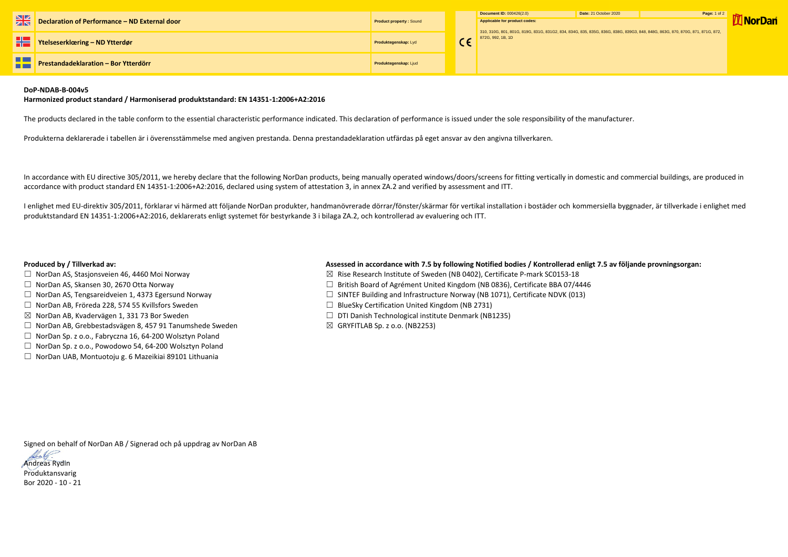|   |                                               |                                | Document ID: 000426(2.0)                                                                       | Date: 21 |
|---|-----------------------------------------------|--------------------------------|------------------------------------------------------------------------------------------------|----------|
| 米 | Declaration of Performance - ND External door | <b>Product property: Sound</b> | Applicable for product codes:<br>310, 310G, 801, 801G, 819G, 831G, 831G2, 834, 834G, 835, 8350 |          |
|   | Ytelseserklæring – ND Ytterdør                | Produktegenskap: Lyd           | 872G, 992, 1B, 1D                                                                              |          |
|   | Prestandadeklaration - Bor Ytterdörr          | Produktegenskap: Ljud          |                                                                                                |          |



## **DoP-NDAB-B-004v5**

## **Harmonized product standard / Harmoniserad produktstandard: EN 14351-1:2006+A2:2016**

The products declared in the table conform to the essential characteristic performance indicated. This declaration of performance is issued under the sole responsibility of the manufacturer.

Produkterna deklarerade i tabellen är i överensstämmelse med angiven prestanda. Denna prestandadeklaration utfärdas på eget ansvar av den angivna tillverkaren.

In accordance with EU directive 305/2011, we hereby declare that the following NorDan products, being manually operated windows/doors/screens for fitting vertically in domestic and commercial buildings, are produced in accordance with product standard EN 14351-1:2006+A2:2016, declared using system of attestation 3, in annex ZA.2 and verified by assessment and ITT.

- □ NorDan AS, Stasjonsveien 46, 4460 Moi Norway  $□$  Norman Manusculing Rise Research Institute of Sweden (NB 0402), Certificate P-mark SC0153-18
- ☐ NorDan AS, Skansen 30, 2670 Otta Norway ☐ British Board of Agrément United Kingdom (NB 0836), Certificate BBA 07/4446
- ☐ NorDan AS, Tengsareidveien 1, 4373 Egersund Norway ☐ SINTEF Building and Infrastructure Norway (NB 1071), Certificate NDVK (013)
	-
- ☒ NorDan AB, Kvadervägen 1, 331 73 Bor Sweden ☐ DTI Danish Technological institute Denmark (NB1235)
	-

I enlighet med EU-direktiv 305/2011, förklarar vi härmed att följande NorDan produkter, handmanövrerade dörrar/fönster/skärmar för vertikal installation i bostäder och kommersiella byggnader, är tillverkade i enlighet med produktstandard EN 14351-1:2006+A2:2016, deklarerats enligt systemet för bestyrkande 3 i bilaga ZA.2, och kontrollerad av evaluering och ITT.

## **Produced by / Tillverkad av: Assessed in accordance with 7.5 by following Notified bodies / Kontrollerad enligt 7.5 av följande provningsorgan:**

- 
- 
- 
- ☐ NorDan AB, Fröreda 228, 574 55 Kvillsfors Sweden ☐ BlueSky Certification United Kingdom (NB 2731)
- 
- ☐ NorDan AB, Grebbestadsvägen 8, 457 91 Tanumshede Sweden ☒ GRYFITLAB Sp. z o.o. (NB2253)
- ☐ NorDan Sp. z o.o., Fabryczna 16, 64-200 Wolsztyn Poland
- ☐ NorDan Sp. z o.o., Powodowo 54, 64-200 Wolsztyn Poland
- ☐ NorDan UAB, Montuotoju g. 6 Mazeikiai 89101 Lithuania

Signed on behalf of NorDan AB / Signerad och på uppdrag av NorDan AB



Produktansvarig Bor 2020 - 10 - 21